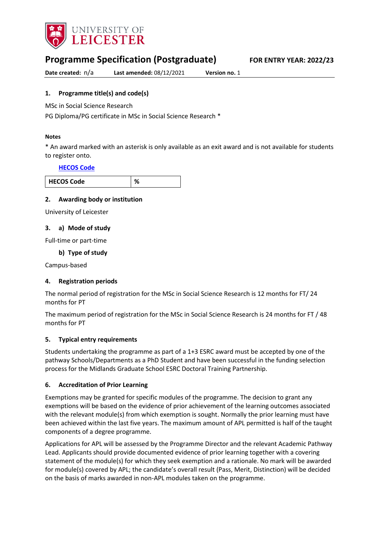

# **Programme Specification (Postgraduate) FOR ENTRY YEAR: 2022/23**

**Date created:** n/a **Last amended:** 08/12/2021 **Version no.** 1

### <span id="page-0-0"></span>**1. Programme title(s) and code(s)**

MSc in Social Science Research

PG Diploma/PG certificate in MSc in Social Science Research \*

#### **Notes**

\* An award marked with an asterisk is only available as an exit award and is not available for students to register onto.

#### **[HECOS Code](https://www.hesa.ac.uk/innovation/hecos)**

| <b>COS Code</b><br><b>HEC</b> |  |
|-------------------------------|--|

#### **2. Awarding body or institution**

University of Leicester

#### **3. a) Mode of study**

Full-time or part-time

### **b) Type of study**

Campus-based

#### **4. Registration periods**

The normal period of registration for the MSc in Social Science Research is 12 months for FT/ 24 months for PT

The maximum period of registration for the MSc in Social Science Research is 24 months for FT / 48 months for PT

#### **5. Typical entry requirements**

Students undertaking the programme as part of a 1+3 ESRC award must be accepted by one of the pathway Schools/Departments as a PhD Student and have been successful in the funding selection process for the Midlands Graduate School ESRC Doctoral Training Partnership.

#### **6. Accreditation of Prior Learning**

Exemptions may be granted for specific modules of the programme. The decision to grant any exemptions will be based on the evidence of prior achievement of the learning outcomes associated with the relevant module(s) from which exemption is sought. Normally the prior learning must have been achieved within the last five years. The maximum amount of APL permitted is half of the taught components of a degree programme.

Applications for APL will be assessed by the Programme Director and the relevant Academic Pathway Lead. Applicants should provide documented evidence of prior learning together with a covering statement of the module(s) for which they seek exemption and a rationale. No mark will be awarded for module(s) covered by APL; the candidate's overall result (Pass, Merit, Distinction) will be decided on the basis of marks awarded in non-APL modules taken on the programme.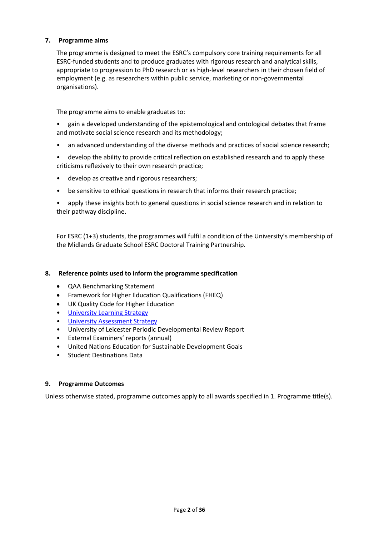### **7. Programme aims**

The programme is designed to meet the ESRC's compulsory core training requirements for all ESRC-funded students and to produce graduates with rigorous research and analytical skills, appropriate to progression to PhD research or as high-level researchers in their chosen field of employment (e.g. as researchers within public service, marketing or non-governmental organisations).

The programme aims to enable graduates to:

• gain a developed understanding of the epistemological and ontological debates that frame and motivate social science research and its methodology;

- an advanced understanding of the diverse methods and practices of social science research;
- develop the ability to provide critical reflection on established research and to apply these criticisms reflexively to their own research practice;
- develop as creative and rigorous researchers;
- be sensitive to ethical questions in research that informs their research practice;

• apply these insights both to general questions in social science research and in relation to their pathway discipline.

For ESRC (1+3) students, the programmes will fulfil a condition of the University's membership of the Midlands Graduate School ESRC Doctoral Training Partnership.

#### **8. Reference points used to inform the programme specification**

- QAA Benchmarking Statement
- Framework for Higher Education Qualifications (FHEQ)
- UK Quality Code for Higher Education
- [University Learning](https://www2.le.ac.uk/offices/sas2/quality/learnteach) Strategy
- [University Assessment Strategy](https://www2.le.ac.uk/offices/sas2/quality/learnteach)
- University of Leicester Periodic Developmental Review Report
- External Examiners' reports (annual)
- United Nations Education for Sustainable Development Goals
- Student Destinations Data

#### **9. Programme Outcomes**

Unless otherwise stated, programme outcomes apply to all awards specified in [1.](#page-0-0) Programme title(s).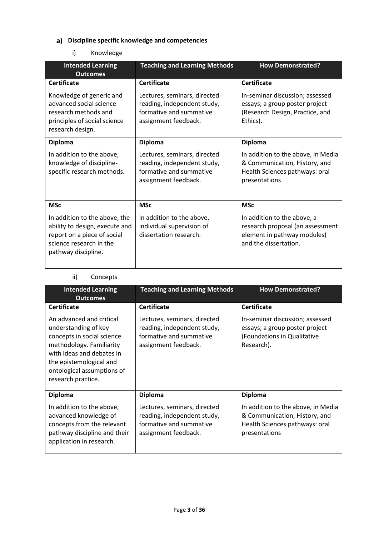## **Discipline specific knowledge and competencies**

## i) Knowledge

| <b>Intended Learning</b><br><b>Outcomes</b>                                                                                                      | <b>Teaching and Learning Methods</b>                                                                           | <b>How Demonstrated?</b>                                                                                                |
|--------------------------------------------------------------------------------------------------------------------------------------------------|----------------------------------------------------------------------------------------------------------------|-------------------------------------------------------------------------------------------------------------------------|
| <b>Certificate</b>                                                                                                                               | <b>Certificate</b>                                                                                             | <b>Certificate</b>                                                                                                      |
| Knowledge of generic and<br>advanced social science<br>research methods and<br>principles of social science<br>research design.                  | Lectures, seminars, directed<br>reading, independent study,<br>formative and summative<br>assignment feedback. | In-seminar discussion; assessed<br>essays; a group poster project<br>(Research Design, Practice, and<br>Ethics).        |
| <b>Diploma</b>                                                                                                                                   | <b>Diploma</b>                                                                                                 | <b>Diploma</b>                                                                                                          |
| In addition to the above,<br>knowledge of discipline-<br>specific research methods.                                                              | Lectures, seminars, directed<br>reading, independent study,<br>formative and summative<br>assignment feedback. | In addition to the above, in Media<br>& Communication, History, and<br>Health Sciences pathways: oral<br>presentations  |
| <b>MSc</b>                                                                                                                                       | <b>MSc</b>                                                                                                     | <b>MSc</b>                                                                                                              |
| In addition to the above, the<br>ability to design, execute and<br>report on a piece of social<br>science research in the<br>pathway discipline. | In addition to the above,<br>individual supervision of<br>dissertation research.                               | In addition to the above, a<br>research proposal (an assessment<br>element in pathway modules)<br>and the dissertation. |

## ii) Concepts

| <b>Intended Learning</b><br><b>Outcomes</b>                                                                                                                                                                            | <b>Teaching and Learning Methods</b>                                                                           | <b>How Demonstrated?</b>                                                                                               |
|------------------------------------------------------------------------------------------------------------------------------------------------------------------------------------------------------------------------|----------------------------------------------------------------------------------------------------------------|------------------------------------------------------------------------------------------------------------------------|
| <b>Certificate</b>                                                                                                                                                                                                     | <b>Certificate</b>                                                                                             | <b>Certificate</b>                                                                                                     |
| An advanced and critical<br>understanding of key<br>concepts in social science<br>methodology. Familiarity<br>with ideas and debates in<br>the epistemological and<br>ontological assumptions of<br>research practice. | Lectures, seminars, directed<br>reading, independent study,<br>formative and summative<br>assignment feedback. | In-seminar discussion; assessed<br>essays; a group poster project<br>(Foundations in Qualitative<br>Research).         |
| <b>Diploma</b>                                                                                                                                                                                                         | <b>Diploma</b>                                                                                                 | <b>Diploma</b>                                                                                                         |
| In addition to the above,<br>advanced knowledge of<br>concepts from the relevant<br>pathway discipline and their<br>application in research.                                                                           | Lectures, seminars, directed<br>reading, independent study,<br>formative and summative<br>assignment feedback. | In addition to the above, in Media<br>& Communication, History, and<br>Health Sciences pathways: oral<br>presentations |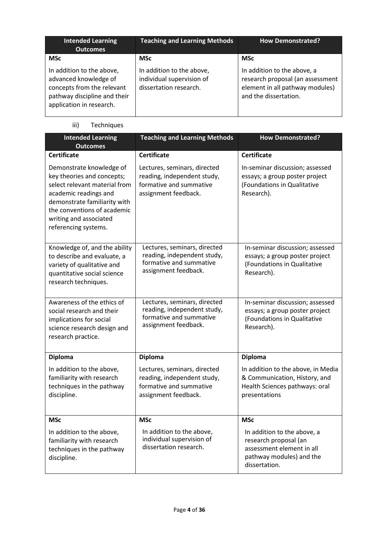| <b>Intended Learning</b><br><b>Outcomes</b>                                                                                                  | <b>Teaching and Learning Methods</b>                                             | <b>How Demonstrated?</b>                                                                                                    |
|----------------------------------------------------------------------------------------------------------------------------------------------|----------------------------------------------------------------------------------|-----------------------------------------------------------------------------------------------------------------------------|
| <b>MSc</b>                                                                                                                                   | <b>MSc</b>                                                                       | <b>MSc</b>                                                                                                                  |
| In addition to the above,<br>advanced knowledge of<br>concepts from the relevant<br>pathway discipline and their<br>application in research. | In addition to the above,<br>individual supervision of<br>dissertation research. | In addition to the above, a<br>research proposal (an assessment<br>element in all pathway modules)<br>and the dissertation. |

## iii) Techniques

| <b>Intended Learning</b><br><b>Outcomes</b>                                                                                                                                                                                       | <b>Teaching and Learning Methods</b>                                                                           | <b>How Demonstrated?</b>                                                                                                       |
|-----------------------------------------------------------------------------------------------------------------------------------------------------------------------------------------------------------------------------------|----------------------------------------------------------------------------------------------------------------|--------------------------------------------------------------------------------------------------------------------------------|
| <b>Certificate</b>                                                                                                                                                                                                                | <b>Certificate</b>                                                                                             | <b>Certificate</b>                                                                                                             |
| Demonstrate knowledge of<br>key theories and concepts;<br>select relevant material from<br>academic readings and<br>demonstrate familiarity with<br>the conventions of academic<br>writing and associated<br>referencing systems. | Lectures, seminars, directed<br>reading, independent study,<br>formative and summative<br>assignment feedback. | In-seminar discussion; assessed<br>essays; a group poster project<br>(Foundations in Qualitative<br>Research).                 |
| Knowledge of, and the ability<br>to describe and evaluate, a<br>variety of qualitative and<br>quantitative social science<br>research techniques.                                                                                 | Lectures, seminars, directed<br>reading, independent study,<br>formative and summative<br>assignment feedback. | In-seminar discussion; assessed<br>essays; a group poster project<br>(Foundations in Qualitative<br>Research).                 |
| Awareness of the ethics of<br>social research and their<br>implications for social<br>science research design and<br>research practice.                                                                                           | Lectures, seminars, directed<br>reading, independent study,<br>formative and summative<br>assignment feedback. | In-seminar discussion; assessed<br>essays; a group poster project<br>(Foundations in Qualitative<br>Research).                 |
| <b>Diploma</b>                                                                                                                                                                                                                    | <b>Diploma</b>                                                                                                 | <b>Diploma</b>                                                                                                                 |
| In addition to the above,<br>familiarity with research<br>techniques in the pathway<br>discipline.                                                                                                                                | Lectures, seminars, directed<br>reading, independent study,<br>formative and summative<br>assignment feedback. | In addition to the above, in Media<br>& Communication, History, and<br>Health Sciences pathways: oral<br>presentations         |
| <b>MSc</b>                                                                                                                                                                                                                        | <b>MSc</b>                                                                                                     | <b>MSc</b>                                                                                                                     |
| In addition to the above,<br>familiarity with research<br>techniques in the pathway<br>discipline.                                                                                                                                | In addition to the above,<br>individual supervision of<br>dissertation research.                               | In addition to the above, a<br>research proposal (an<br>assessment element in all<br>pathway modules) and the<br>dissertation. |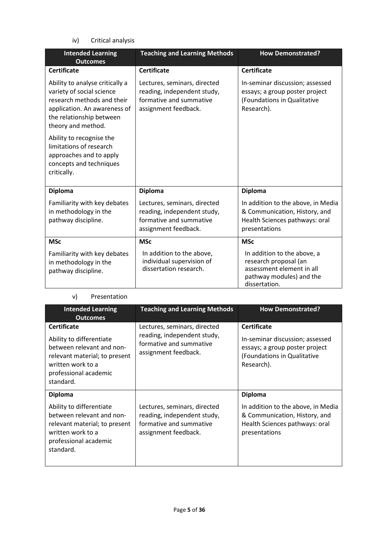iv) Critical analysis

| <b>Intended Learning</b><br><b>Outcomes</b>                                                                                                                                  | <b>Teaching and Learning Methods</b>                                                                           | <b>How Demonstrated?</b>                                                                                                       |
|------------------------------------------------------------------------------------------------------------------------------------------------------------------------------|----------------------------------------------------------------------------------------------------------------|--------------------------------------------------------------------------------------------------------------------------------|
| <b>Certificate</b>                                                                                                                                                           | <b>Certificate</b>                                                                                             | <b>Certificate</b>                                                                                                             |
| Ability to analyse critically a<br>variety of social science<br>research methods and their<br>application. An awareness of<br>the relationship between<br>theory and method. | Lectures, seminars, directed<br>reading, independent study,<br>formative and summative<br>assignment feedback. | In-seminar discussion; assessed<br>essays; a group poster project<br>(Foundations in Qualitative<br>Research).                 |
| Ability to recognise the<br>limitations of research<br>approaches and to apply<br>concepts and techniques<br>critically.                                                     |                                                                                                                |                                                                                                                                |
| <b>Diploma</b>                                                                                                                                                               | <b>Diploma</b>                                                                                                 | <b>Diploma</b>                                                                                                                 |
| Familiarity with key debates<br>in methodology in the<br>pathway discipline.                                                                                                 | Lectures, seminars, directed<br>reading, independent study,<br>formative and summative<br>assignment feedback. | In addition to the above, in Media<br>& Communication, History, and<br>Health Sciences pathways: oral<br>presentations         |
| <b>MSc</b>                                                                                                                                                                   | <b>MSc</b>                                                                                                     | <b>MSc</b>                                                                                                                     |
| Familiarity with key debates<br>in methodology in the<br>pathway discipline.                                                                                                 | In addition to the above,<br>individual supervision of<br>dissertation research.                               | In addition to the above, a<br>research proposal (an<br>assessment element in all<br>pathway modules) and the<br>dissertation. |

### v) Presentation

| <b>Intended Learning</b><br><b>Outcomes</b>                                                                                                                             | <b>Teaching and Learning Methods</b>                                                                           | <b>How Demonstrated?</b>                                                                                                             |
|-------------------------------------------------------------------------------------------------------------------------------------------------------------------------|----------------------------------------------------------------------------------------------------------------|--------------------------------------------------------------------------------------------------------------------------------------|
| <b>Certificate</b><br>Ability to differentiate<br>between relevant and non-<br>relevant material; to present<br>written work to a<br>professional academic<br>standard. | Lectures, seminars, directed<br>reading, independent study,<br>formative and summative<br>assignment feedback. | <b>Certificate</b><br>In-seminar discussion; assessed<br>essays; a group poster project<br>(Foundations in Qualitative<br>Research). |
| <b>Diploma</b>                                                                                                                                                          |                                                                                                                | <b>Diploma</b>                                                                                                                       |
| Ability to differentiate<br>between relevant and non-<br>relevant material; to present<br>written work to a<br>professional academic<br>standard.                       | Lectures, seminars, directed<br>reading, independent study,<br>formative and summative<br>assignment feedback. | In addition to the above, in Media<br>& Communication, History, and<br>Health Sciences pathways: oral<br>presentations               |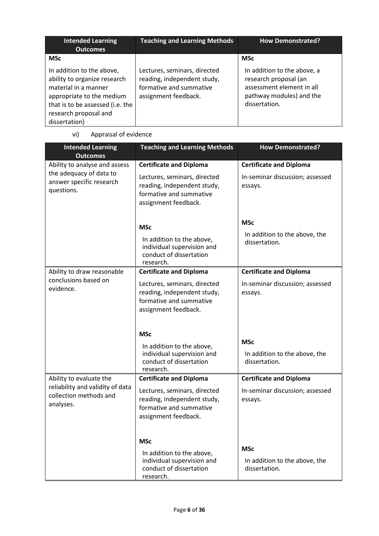| <b>Intended Learning</b><br><b>Outcomes</b>                                                                                                                                                  | <b>Teaching and Learning Methods</b>                                                                           | <b>How Demonstrated?</b>                                                                                                       |
|----------------------------------------------------------------------------------------------------------------------------------------------------------------------------------------------|----------------------------------------------------------------------------------------------------------------|--------------------------------------------------------------------------------------------------------------------------------|
| <b>MSc</b>                                                                                                                                                                                   |                                                                                                                | <b>MSc</b>                                                                                                                     |
| In addition to the above,<br>ability to organize research<br>material in a manner<br>appropriate to the medium<br>that is to be assessed (i.e. the<br>research proposal and<br>dissertation) | Lectures, seminars, directed<br>reading, independent study,<br>formative and summative<br>assignment feedback. | In addition to the above, a<br>research proposal (an<br>assessment element in all<br>pathway modules) and the<br>dissertation. |

vi) Appraisal of evidence

| <b>Intended Learning</b><br><b>Outcomes</b>                                                        | <b>Teaching and Learning Methods</b>                                                                                                             | <b>How Demonstrated?</b>                                                     |
|----------------------------------------------------------------------------------------------------|--------------------------------------------------------------------------------------------------------------------------------------------------|------------------------------------------------------------------------------|
| Ability to analyse and assess<br>the adequacy of data to<br>answer specific research<br>questions. | <b>Certificate and Diploma</b><br>Lectures, seminars, directed<br>reading, independent study,<br>formative and summative<br>assignment feedback. | <b>Certificate and Diploma</b><br>In-seminar discussion; assessed<br>essays. |
|                                                                                                    | <b>MSc</b><br>In addition to the above,<br>individual supervision and<br>conduct of dissertation<br>research.                                    | <b>MSc</b><br>In addition to the above, the<br>dissertation.                 |
| Ability to draw reasonable<br>conclusions based on<br>evidence.                                    | <b>Certificate and Diploma</b><br>Lectures, seminars, directed<br>reading, independent study,<br>formative and summative<br>assignment feedback. | <b>Certificate and Diploma</b><br>In-seminar discussion; assessed<br>essays. |
|                                                                                                    | <b>MSc</b><br>In addition to the above,<br>individual supervision and<br>conduct of dissertation<br>research.                                    | <b>MSc</b><br>In addition to the above, the<br>dissertation.                 |
| Ability to evaluate the<br>reliability and validity of data<br>collection methods and<br>analyses. | <b>Certificate and Diploma</b><br>Lectures, seminars, directed<br>reading, independent study,<br>formative and summative<br>assignment feedback. | <b>Certificate and Diploma</b><br>In-seminar discussion; assessed<br>essays. |
|                                                                                                    | <b>MSc</b><br>In addition to the above,<br>individual supervision and<br>conduct of dissertation<br>research.                                    | <b>MSc</b><br>In addition to the above, the<br>dissertation.                 |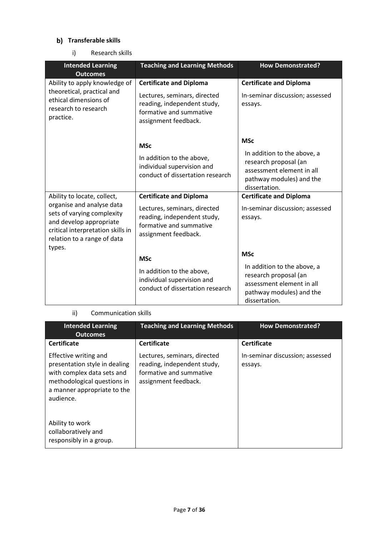## **b)** Transferable skills

i) Research skills

| <b>Intended Learning</b><br><b>Outcomes</b>                                                                                                                                                     | <b>Teaching and Learning Methods</b>                                                                                                             | <b>How Demonstrated?</b>                                                                                                                     |
|-------------------------------------------------------------------------------------------------------------------------------------------------------------------------------------------------|--------------------------------------------------------------------------------------------------------------------------------------------------|----------------------------------------------------------------------------------------------------------------------------------------------|
| Ability to apply knowledge of<br>theoretical, practical and<br>ethical dimensions of<br>research to research<br>practice.                                                                       | <b>Certificate and Diploma</b><br>Lectures, seminars, directed<br>reading, independent study,<br>formative and summative<br>assignment feedback. | <b>Certificate and Diploma</b><br>In-seminar discussion; assessed<br>essays.                                                                 |
|                                                                                                                                                                                                 | <b>MSc</b><br>In addition to the above,<br>individual supervision and<br>conduct of dissertation research                                        | <b>MSc</b><br>In addition to the above, a<br>research proposal (an<br>assessment element in all<br>pathway modules) and the<br>dissertation. |
| Ability to locate, collect,<br>organise and analyse data<br>sets of varying complexity<br>and develop appropriate<br>critical interpretation skills in<br>relation to a range of data<br>types. | <b>Certificate and Diploma</b><br>Lectures, seminars, directed<br>reading, independent study,<br>formative and summative<br>assignment feedback. | <b>Certificate and Diploma</b><br>In-seminar discussion; assessed<br>essays.                                                                 |
|                                                                                                                                                                                                 | <b>MSc</b><br>In addition to the above,<br>individual supervision and<br>conduct of dissertation research                                        | <b>MSc</b><br>In addition to the above, a<br>research proposal (an<br>assessment element in all<br>pathway modules) and the<br>dissertation. |

### ii) Communication skills

| <b>Intended Learning</b><br><b>Outcomes</b>                                                                                                                     | <b>Teaching and Learning Methods</b>                                                                           | <b>How Demonstrated?</b>                   |
|-----------------------------------------------------------------------------------------------------------------------------------------------------------------|----------------------------------------------------------------------------------------------------------------|--------------------------------------------|
| <b>Certificate</b>                                                                                                                                              | <b>Certificate</b>                                                                                             | <b>Certificate</b>                         |
| Effective writing and<br>presentation style in dealing<br>with complex data sets and<br>methodological questions in<br>a manner appropriate to the<br>audience. | Lectures, seminars, directed<br>reading, independent study,<br>formative and summative<br>assignment feedback. | In-seminar discussion; assessed<br>essays. |
| Ability to work<br>collaboratively and<br>responsibly in a group.                                                                                               |                                                                                                                |                                            |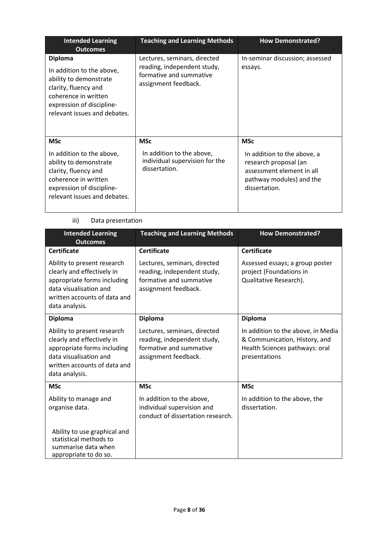| <b>Intended Learning</b><br><b>Outcomes</b>                                                                                                                                        | <b>Teaching and Learning Methods</b>                                                                           | <b>How Demonstrated?</b>                                                                                                                     |
|------------------------------------------------------------------------------------------------------------------------------------------------------------------------------------|----------------------------------------------------------------------------------------------------------------|----------------------------------------------------------------------------------------------------------------------------------------------|
| <b>Diploma</b><br>In addition to the above,<br>ability to demonstrate<br>clarity, fluency and<br>coherence in written<br>expression of discipline-<br>relevant issues and debates. | Lectures, seminars, directed<br>reading, independent study,<br>formative and summative<br>assignment feedback. | In-seminar discussion; assessed<br>essays.                                                                                                   |
| <b>MSc</b><br>In addition to the above,<br>ability to demonstrate<br>clarity, fluency and<br>coherence in written<br>expression of discipline-<br>relevant issues and debates.     | <b>MSc</b><br>In addition to the above,<br>individual supervision for the<br>dissertation.                     | <b>MSc</b><br>In addition to the above, a<br>research proposal (an<br>assessment element in all<br>pathway modules) and the<br>dissertation. |

### iii) Data presentation

| <b>Intended Learning</b><br><b>Outcomes</b>                                                                                                                          | <b>Teaching and Learning Methods</b>                                                                           | <b>How Demonstrated?</b>                                                                                               |  |
|----------------------------------------------------------------------------------------------------------------------------------------------------------------------|----------------------------------------------------------------------------------------------------------------|------------------------------------------------------------------------------------------------------------------------|--|
| <b>Certificate</b>                                                                                                                                                   | <b>Certificate</b>                                                                                             | <b>Certificate</b>                                                                                                     |  |
| Ability to present research<br>clearly and effectively in<br>appropriate forms including<br>data visualisation and<br>written accounts of data and<br>data analysis. | Lectures, seminars, directed<br>reading, independent study,<br>formative and summative<br>assignment feedback. | Assessed essays; a group poster<br>project (Foundations in<br>Qualitative Research).                                   |  |
| <b>Diploma</b>                                                                                                                                                       | <b>Diploma</b>                                                                                                 | Diploma                                                                                                                |  |
| Ability to present research<br>clearly and effectively in<br>appropriate forms including<br>data visualisation and<br>written accounts of data and<br>data analysis. | Lectures, seminars, directed<br>reading, independent study,<br>formative and summative<br>assignment feedback. | In addition to the above, in Media<br>& Communication, History, and<br>Health Sciences pathways: oral<br>presentations |  |
| <b>MSc</b>                                                                                                                                                           | <b>MSc</b>                                                                                                     | <b>MSc</b>                                                                                                             |  |
| Ability to manage and<br>organise data.                                                                                                                              | In addition to the above,<br>individual supervision and<br>conduct of dissertation research.                   | In addition to the above, the<br>dissertation.                                                                         |  |
| Ability to use graphical and<br>statistical methods to<br>summarise data when<br>appropriate to do so.                                                               |                                                                                                                |                                                                                                                        |  |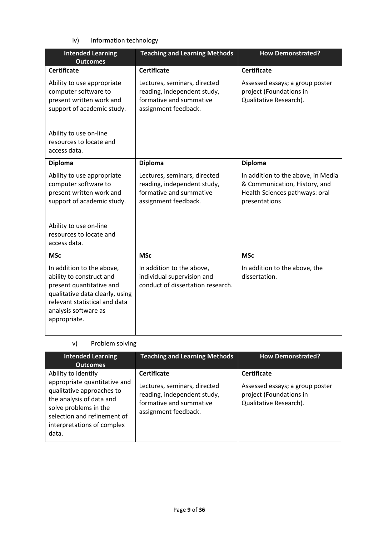iv) Information technology

| <b>Intended Learning</b><br><b>Outcomes</b>                                                                                                                                                   | <b>Teaching and Learning Methods</b>                                                                           | <b>How Demonstrated?</b>                                                                                               |  |
|-----------------------------------------------------------------------------------------------------------------------------------------------------------------------------------------------|----------------------------------------------------------------------------------------------------------------|------------------------------------------------------------------------------------------------------------------------|--|
| <b>Certificate</b>                                                                                                                                                                            | <b>Certificate</b>                                                                                             | <b>Certificate</b>                                                                                                     |  |
| Ability to use appropriate<br>computer software to<br>present written work and<br>support of academic study.                                                                                  | Lectures, seminars, directed<br>reading, independent study,<br>formative and summative<br>assignment feedback. | Assessed essays; a group poster<br>project (Foundations in<br>Qualitative Research).                                   |  |
| Ability to use on-line<br>resources to locate and<br>access data.                                                                                                                             |                                                                                                                |                                                                                                                        |  |
| <b>Diploma</b>                                                                                                                                                                                | <b>Diploma</b>                                                                                                 | <b>Diploma</b>                                                                                                         |  |
| Ability to use appropriate<br>computer software to<br>present written work and<br>support of academic study.<br>Ability to use on-line<br>resources to locate and<br>access data.             | Lectures, seminars, directed<br>reading, independent study,<br>formative and summative<br>assignment feedback. | In addition to the above, in Media<br>& Communication, History, and<br>Health Sciences pathways: oral<br>presentations |  |
| <b>MSc</b>                                                                                                                                                                                    | <b>MSc</b>                                                                                                     | <b>MSc</b>                                                                                                             |  |
| In addition to the above,<br>ability to construct and<br>present quantitative and<br>qualitative data clearly, using<br>relevant statistical and data<br>analysis software as<br>appropriate. | In addition to the above,<br>individual supervision and<br>conduct of dissertation research.                   | In addition to the above, the<br>dissertation.                                                                         |  |

### v) Problem solving

| <b>Intended Learning</b><br><b>Outcomes</b>                                                                                                                                                                 | <b>Teaching and Learning Methods</b>                                                                                                 | <b>How Demonstrated?</b>                                                                                   |  |
|-------------------------------------------------------------------------------------------------------------------------------------------------------------------------------------------------------------|--------------------------------------------------------------------------------------------------------------------------------------|------------------------------------------------------------------------------------------------------------|--|
| Ability to identify<br>appropriate quantitative and<br>qualitative approaches to<br>the analysis of data and<br>solve problems in the<br>selection and refinement of<br>interpretations of complex<br>data. | <b>Certificate</b><br>Lectures, seminars, directed<br>reading, independent study,<br>formative and summative<br>assignment feedback. | <b>Certificate</b><br>Assessed essays; a group poster<br>project (Foundations in<br>Qualitative Research). |  |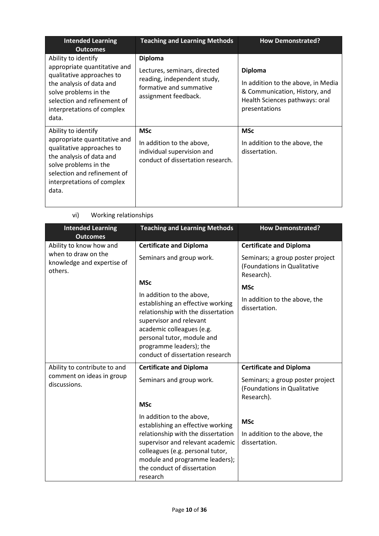| <b>Intended Learning</b><br><b>Outcomes</b>                                                                                                                                                                 | <b>Teaching and Learning Methods</b>                                                                                             | <b>How Demonstrated?</b>                                                                                                                 |  |
|-------------------------------------------------------------------------------------------------------------------------------------------------------------------------------------------------------------|----------------------------------------------------------------------------------------------------------------------------------|------------------------------------------------------------------------------------------------------------------------------------------|--|
| Ability to identify<br>appropriate quantitative and<br>qualitative approaches to<br>the analysis of data and<br>solve problems in the<br>selection and refinement of<br>interpretations of complex<br>data. | <b>Diploma</b><br>Lectures, seminars, directed<br>reading, independent study,<br>formative and summative<br>assignment feedback. | <b>Diploma</b><br>In addition to the above, in Media<br>& Communication, History, and<br>Health Sciences pathways: oral<br>presentations |  |
| Ability to identify<br>appropriate quantitative and<br>qualitative approaches to<br>the analysis of data and<br>solve problems in the<br>selection and refinement of<br>interpretations of complex<br>data. | <b>MSc</b><br>In addition to the above,<br>individual supervision and<br>conduct of dissertation research.                       | <b>MSc</b><br>In addition to the above, the<br>dissertation.                                                                             |  |

| <b>Intended Learning</b><br><b>Outcomes</b>                  | <b>Teaching and Learning Methods</b>                                                                                                                                                                                                                      | <b>How Demonstrated?</b>                                                      |
|--------------------------------------------------------------|-----------------------------------------------------------------------------------------------------------------------------------------------------------------------------------------------------------------------------------------------------------|-------------------------------------------------------------------------------|
| Ability to know how and                                      | <b>Certificate and Diploma</b>                                                                                                                                                                                                                            | <b>Certificate and Diploma</b>                                                |
| when to draw on the<br>knowledge and expertise of<br>others. | Seminars and group work.                                                                                                                                                                                                                                  | Seminars; a group poster project<br>(Foundations in Qualitative<br>Research). |
|                                                              | <b>MSc</b>                                                                                                                                                                                                                                                | <b>MSc</b>                                                                    |
|                                                              | In addition to the above,<br>establishing an effective working<br>relationship with the dissertation<br>supervisor and relevant<br>academic colleagues (e.g.<br>personal tutor, module and<br>programme leaders); the<br>conduct of dissertation research | In addition to the above, the<br>dissertation.                                |
| Ability to contribute to and                                 | <b>Certificate and Diploma</b>                                                                                                                                                                                                                            | <b>Certificate and Diploma</b>                                                |
| comment on ideas in group<br>discussions.                    | Seminars and group work.                                                                                                                                                                                                                                  | Seminars; a group poster project<br>(Foundations in Qualitative<br>Research). |
|                                                              | <b>MSc</b>                                                                                                                                                                                                                                                |                                                                               |
|                                                              | In addition to the above,<br>establishing an effective working<br>relationship with the dissertation<br>supervisor and relevant academic<br>colleagues (e.g. personal tutor,<br>module and programme leaders);<br>the conduct of dissertation<br>research | <b>MSc</b><br>In addition to the above, the<br>dissertation.                  |

## vi) Working relationships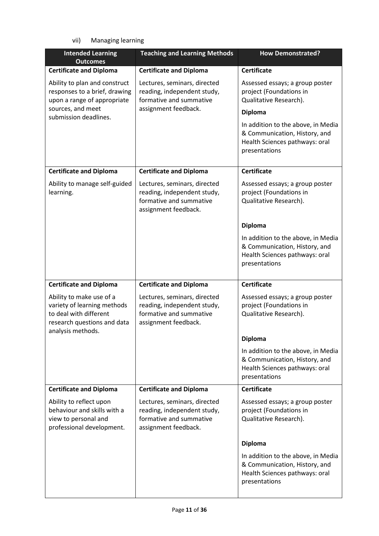vii) Managing learning

| <b>Intended Learning</b><br><b>Outcomes</b>                                                                                                 | <b>Teaching and Learning Methods</b>                                                                           | <b>How Demonstrated?</b>                                                                                               |  |
|---------------------------------------------------------------------------------------------------------------------------------------------|----------------------------------------------------------------------------------------------------------------|------------------------------------------------------------------------------------------------------------------------|--|
| <b>Certificate and Diploma</b>                                                                                                              | <b>Certificate and Diploma</b>                                                                                 | <b>Certificate</b>                                                                                                     |  |
| Ability to plan and construct<br>responses to a brief, drawing<br>upon a range of appropriate<br>sources, and meet<br>submission deadlines. | Lectures, seminars, directed<br>reading, independent study,<br>formative and summative<br>assignment feedback. | Assessed essays; a group poster<br>project (Foundations in<br>Qualitative Research).<br><b>Diploma</b>                 |  |
|                                                                                                                                             |                                                                                                                | In addition to the above, in Media<br>& Communication, History, and<br>Health Sciences pathways: oral<br>presentations |  |
| <b>Certificate and Diploma</b>                                                                                                              | <b>Certificate and Diploma</b>                                                                                 | <b>Certificate</b>                                                                                                     |  |
| Ability to manage self-guided<br>learning.                                                                                                  | Lectures, seminars, directed<br>reading, independent study,<br>formative and summative<br>assignment feedback. | Assessed essays; a group poster<br>project (Foundations in<br>Qualitative Research).                                   |  |
|                                                                                                                                             |                                                                                                                | <b>Diploma</b>                                                                                                         |  |
|                                                                                                                                             |                                                                                                                | In addition to the above, in Media<br>& Communication, History, and<br>Health Sciences pathways: oral<br>presentations |  |
| <b>Certificate and Diploma</b>                                                                                                              | <b>Certificate and Diploma</b>                                                                                 | <b>Certificate</b>                                                                                                     |  |
| Ability to make use of a<br>variety of learning methods<br>to deal with different<br>research questions and data<br>analysis methods.       | Lectures, seminars, directed<br>reading, independent study,<br>formative and summative<br>assignment feedback. | Assessed essays; a group poster<br>project (Foundations in<br>Qualitative Research).                                   |  |
|                                                                                                                                             |                                                                                                                | <b>Diploma</b>                                                                                                         |  |
|                                                                                                                                             |                                                                                                                | In addition to the above, in Media<br>& Communication, History, and<br>Health Sciences pathways: oral<br>presentations |  |
| <b>Certificate and Diploma</b>                                                                                                              | <b>Certificate and Diploma</b>                                                                                 | <b>Certificate</b>                                                                                                     |  |
| Ability to reflect upon<br>behaviour and skills with a<br>view to personal and<br>professional development.                                 | Lectures, seminars, directed<br>reading, independent study,<br>formative and summative<br>assignment feedback. | Assessed essays; a group poster<br>project (Foundations in<br>Qualitative Research).                                   |  |
|                                                                                                                                             |                                                                                                                | <b>Diploma</b>                                                                                                         |  |
|                                                                                                                                             |                                                                                                                | In addition to the above, in Media<br>& Communication, History, and<br>Health Sciences pathways: oral<br>presentations |  |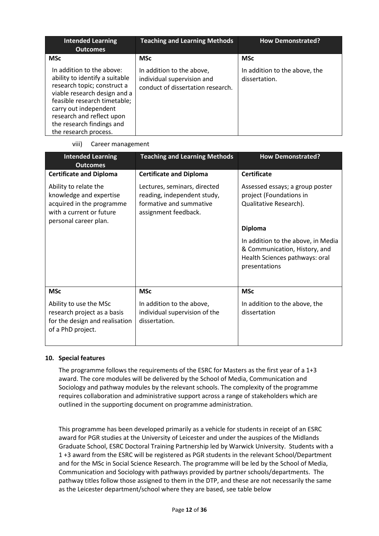| <b>Intended Learning</b><br><b>Outcomes</b>                                                                                                                                                                                                                            | <b>Teaching and Learning Methods</b>                                                         | <b>How Demonstrated?</b>                       |
|------------------------------------------------------------------------------------------------------------------------------------------------------------------------------------------------------------------------------------------------------------------------|----------------------------------------------------------------------------------------------|------------------------------------------------|
| <b>MSc</b>                                                                                                                                                                                                                                                             | <b>MSc</b>                                                                                   | <b>MSc</b>                                     |
| In addition to the above:<br>ability to identify a suitable<br>research topic; construct a<br>viable research design and a<br>feasible research timetable;<br>carry out independent<br>research and reflect upon<br>the research findings and<br>the research process. | In addition to the above,<br>individual supervision and<br>conduct of dissertation research. | In addition to the above, the<br>dissertation. |

viii) Career management

| <b>Intended Learning</b><br><b>Outcomes</b>                                                                                        | <b>Teaching and Learning Methods</b>                                                                           | <b>How Demonstrated?</b>                                                                                               |
|------------------------------------------------------------------------------------------------------------------------------------|----------------------------------------------------------------------------------------------------------------|------------------------------------------------------------------------------------------------------------------------|
| <b>Certificate and Diploma</b>                                                                                                     | <b>Certificate and Diploma</b>                                                                                 | Certificate                                                                                                            |
| Ability to relate the<br>knowledge and expertise<br>acquired in the programme<br>with a current or future<br>personal career plan. | Lectures, seminars, directed<br>reading, independent study,<br>formative and summative<br>assignment feedback. | Assessed essays; a group poster<br>project (Foundations in<br>Qualitative Research).                                   |
|                                                                                                                                    |                                                                                                                | <b>Diploma</b>                                                                                                         |
|                                                                                                                                    |                                                                                                                | In addition to the above, in Media<br>& Communication, History, and<br>Health Sciences pathways: oral<br>presentations |
| <b>MSc</b>                                                                                                                         | <b>MSc</b>                                                                                                     | <b>MSc</b>                                                                                                             |
| Ability to use the MSc<br>research project as a basis<br>for the design and realisation<br>of a PhD project.                       | In addition to the above,<br>individual supervision of the<br>dissertation.                                    | In addition to the above, the<br>dissertation                                                                          |

### **10. Special features**

The programme follows the requirements of the ESRC for Masters as the first year of a 1+3 award. The core modules will be delivered by the School of Media, Communication and Sociology and pathway modules by the relevant schools. The complexity of the programme requires collaboration and administrative support across a range of stakeholders which are outlined in the supporting document on programme administration.

This programme has been developed primarily as a vehicle for students in receipt of an ESRC award for PGR studies at the University of Leicester and under the auspices of the Midlands Graduate School, ESRC Doctoral Training Partnership led by Warwick University. Students with a 1 +3 award from the ESRC will be registered as PGR students in the relevant School/Department and for the MSc in Social Science Research. The programme will be led by the School of Media, Communication and Sociology with pathways provided by partner schools/departments. The pathway titles follow those assigned to them in the DTP, and these are not necessarily the same as the Leicester department/school where they are based, see table below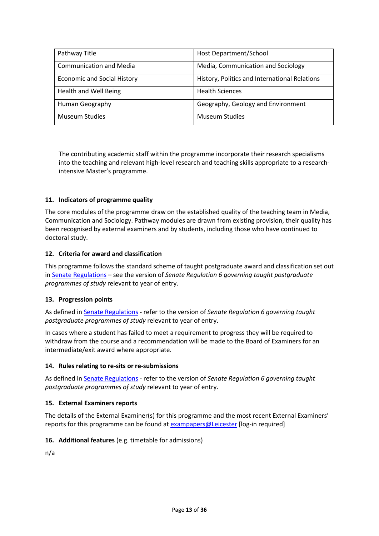| Pathway Title                      | Host Department/School                        |
|------------------------------------|-----------------------------------------------|
| <b>Communication and Media</b>     | Media, Communication and Sociology            |
| <b>Economic and Social History</b> | History, Politics and International Relations |
| <b>Health and Well Being</b>       | <b>Health Sciences</b>                        |
| Human Geography                    | Geography, Geology and Environment            |
| <b>Museum Studies</b>              | <b>Museum Studies</b>                         |

The contributing academic staff within the programme incorporate their research specialisms into the teaching and relevant high-level research and teaching skills appropriate to a researchintensive Master's programme.

### **11. Indicators of programme quality**

The core modules of the programme draw on the established quality of the teaching team in Media, Communication and Sociology. Pathway modules are drawn from existing provision, their quality has been recognised by external examiners and by students, including those who have continued to doctoral study.

#### **12. Criteria for award and classification**

This programme follows the standard scheme of taught postgraduate award and classification set out i[n Senate Regulations](http://www.le.ac.uk/senate-regulations) – see the version of *Senate Regulation 6 governing taught postgraduate programmes of study* relevant to year of entry.

#### **13. Progression points**

As defined i[n Senate Regulations](http://www.le.ac.uk/senate-regulation6) - refer to the version of *Senate Regulation 6 governing taught postgraduate programmes of study* relevant to year of entry.

In cases where a student has failed to meet a requirement to progress they will be required to withdraw from the course and a recommendation will be made to the Board of Examiners for an intermediate/exit award where appropriate.

#### **14. Rules relating to re-sits or re-submissions**

As defined i[n Senate Regulations](http://www.le.ac.uk/senate-regulation6) - refer to the version of *Senate Regulation 6 governing taught postgraduate programmes of study* relevant to year of entry.

#### **15. External Examiners reports**

The details of the External Examiner(s) for this programme and the most recent External Examiners' reports for this programme can be found at [exampapers@Leicester](https://exampapers.le.ac.uk/) [log-in required]

#### **16. Additional features** (e.g. timetable for admissions)

n/a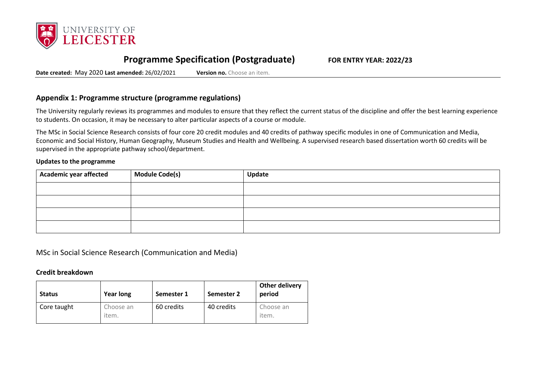

# **Programme Specification (Postgraduate) FOR ENTRY YEAR: 2022/23**

**Date created:** May 2020 **Last amended:** 26/02/2021 **Version no.** Choose an item.

### **Appendix 1: Programme structure (programme regulations)**

The University regularly reviews its programmes and modules to ensure that they reflect the current status of the discipline and offer the best learning experience to students. On occasion, it may be necessary to alter particular aspects of a course or module.

The MSc in Social Science Research consists of four core 20 credit modules and 40 credits of pathway specific modules in one of Communication and Media, Economic and Social History, Human Geography, Museum Studies and Health and Wellbeing. A supervised research based dissertation worth 60 credits will be supervised in the appropriate pathway school/department.

#### **Updates to the programme**

| Academic year affected | <b>Module Code(s)</b> | Update |
|------------------------|-----------------------|--------|
|                        |                       |        |
|                        |                       |        |
|                        |                       |        |
|                        |                       |        |

MSc in Social Science Research (Communication and Media)

#### **Credit breakdown**

| <b>Status</b> | <b>Year long</b>   | Semester 1 | Semester 2 | Other delivery<br>period |
|---------------|--------------------|------------|------------|--------------------------|
| Core taught   | Choose an<br>item. | 60 credits | 40 credits | Choose an<br>item.       |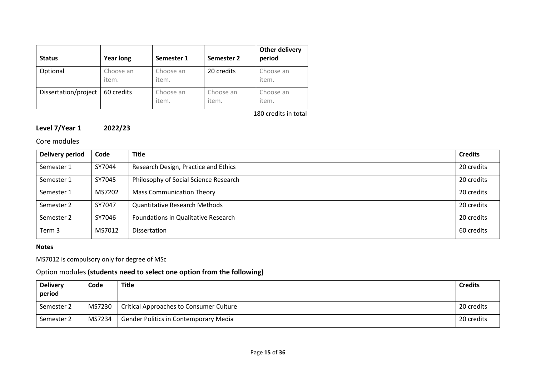| <b>Status</b>        | <b>Year long</b>   | Semester 1         | Semester 2         | <b>Other delivery</b><br>period |
|----------------------|--------------------|--------------------|--------------------|---------------------------------|
| Optional             | Choose an<br>item. | Choose an<br>item. | 20 credits         | Choose an<br>item.              |
| Dissertation/project | 60 credits         | Choose an<br>item. | Choose an<br>item. | Choose an<br>item.              |

180 credits in total

## **Level 7/Year 1 2022/23**

## Core modules

| <b>Delivery period</b> | Code   | <b>Title</b>                          | <b>Credits</b> |
|------------------------|--------|---------------------------------------|----------------|
| Semester 1             | SY7044 | Research Design, Practice and Ethics  | 20 credits     |
| Semester 1             | SY7045 | Philosophy of Social Science Research | 20 credits     |
| Semester 1             | MS7202 | <b>Mass Communication Theory</b>      | 20 credits     |
| Semester 2             | SY7047 | <b>Quantitative Research Methods</b>  | 20 credits     |
| Semester 2             | SY7046 | Foundations in Qualitative Research   | 20 credits     |
| Term 3                 | MS7012 | <b>Dissertation</b>                   | 60 credits     |

### **Notes**

## MS7012 is compulsory only for degree of MSc

## Option modules **(students need to select one option from the following)**

| <b>Delivery</b><br>period | Code   | <b>Title</b>                                   | <b>Credits</b> |
|---------------------------|--------|------------------------------------------------|----------------|
| Semester 2                | MS7230 | <b>Critical Approaches to Consumer Culture</b> | 20 credits     |
| Semester 2                | MS7234 | <b>Gender Politics in Contemporary Media</b>   | 20 credits     |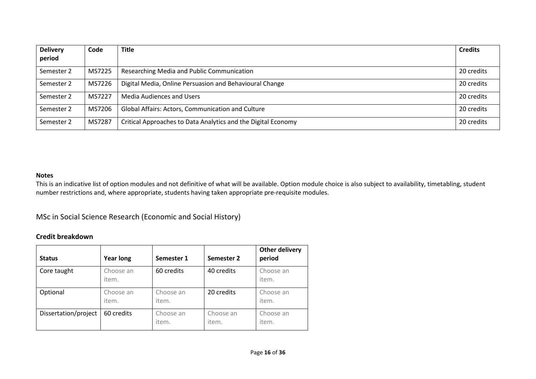| <b>Delivery</b><br>period | Code   | <b>Title</b>                                                  | <b>Credits</b> |
|---------------------------|--------|---------------------------------------------------------------|----------------|
| Semester 2                | MS7225 | Researching Media and Public Communication                    | 20 credits     |
| Semester 2                | MS7226 | Digital Media, Online Persuasion and Behavioural Change       | 20 credits     |
| Semester 2                | MS7227 | <b>Media Audiences and Users</b>                              | 20 credits     |
| Semester 2                | MS7206 | <b>Global Affairs: Actors, Communication and Culture</b>      | 20 credits     |
| Semester 2                | MS7287 | Critical Approaches to Data Analytics and the Digital Economy | 20 credits     |

This is an indicative list of option modules and not definitive of what will be available. Option module choice is also subject to availability, timetabling, student number restrictions and, where appropriate, students having taken appropriate pre-requisite modules.

MSc in Social Science Research (Economic and Social History)

### **Credit breakdown**

| <b>Status</b>        | <b>Year long</b>   | Semester 1         | Semester 2         | <b>Other delivery</b><br>period |
|----------------------|--------------------|--------------------|--------------------|---------------------------------|
| Core taught          | Choose an<br>item. | 60 credits         | 40 credits         | Choose an<br>item.              |
| Optional             | Choose an<br>item. | Choose an<br>item. | 20 credits         | Choose an<br>item.              |
| Dissertation/project | 60 credits         | Choose an<br>item. | Choose an<br>item. | Choose an<br>item.              |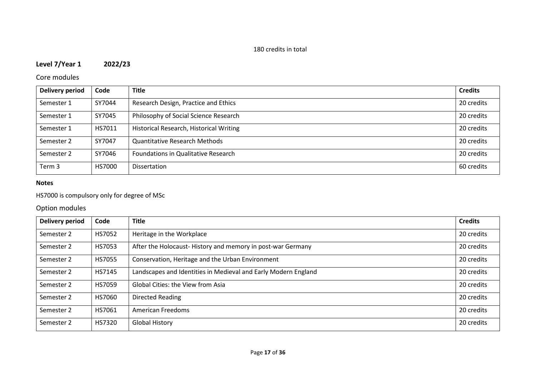## 180 credits in total

## **Level 7/Year 1 2022/23**

## Core modules

| <b>Delivery period</b> | Code   | <b>Title</b>                            | <b>Credits</b> |
|------------------------|--------|-----------------------------------------|----------------|
| Semester 1             | SY7044 | Research Design, Practice and Ethics    | 20 credits     |
| Semester 1             | SY7045 | Philosophy of Social Science Research   | 20 credits     |
| Semester 1             | HS7011 | Historical Research, Historical Writing | 20 credits     |
| Semester 2             | SY7047 | <b>Quantitative Research Methods</b>    | 20 credits     |
| Semester 2             | SY7046 | Foundations in Qualitative Research     | 20 credits     |
| Term 3                 | HS7000 | Dissertation                            | 60 credits     |

### **Notes**

## HS7000 is compulsory only for degree of MSc

## Option modules

| <b>Delivery period</b> | Code          | <b>Title</b>                                                   | <b>Credits</b> |
|------------------------|---------------|----------------------------------------------------------------|----------------|
| Semester 2             | HS7052        | Heritage in the Workplace                                      | 20 credits     |
| Semester 2             | HS7053        | After the Holocaust-History and memory in post-war Germany     | 20 credits     |
| Semester 2             | <b>HS7055</b> | Conservation, Heritage and the Urban Environment               | 20 credits     |
| Semester 2             | HS7145        | Landscapes and Identities in Medieval and Early Modern England | 20 credits     |
| Semester 2             | HS7059        | Global Cities: the View from Asia                              | 20 credits     |
| Semester 2             | HS7060        | <b>Directed Reading</b>                                        | 20 credits     |
| Semester 2             | HS7061        | American Freedoms                                              | 20 credits     |
| Semester 2             | HS7320        | <b>Global History</b>                                          | 20 credits     |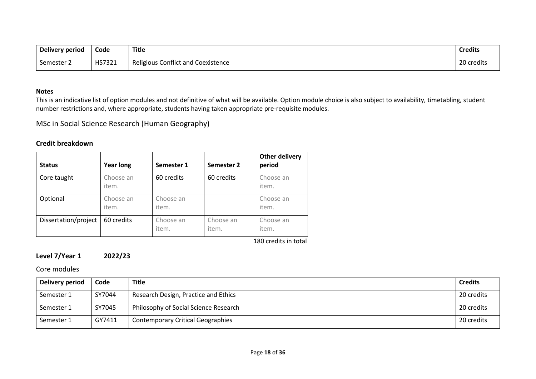| Delivery period | Code   | <b>Title</b>                              | <b>Credits</b> |
|-----------------|--------|-------------------------------------------|----------------|
| Semester 2      | HS7321 | <b>Religious Conflict and Coexistence</b> | 20 credits     |

This is an indicative list of option modules and not definitive of what will be available. Option module choice is also subject to availability, timetabling, student number restrictions and, where appropriate, students having taken appropriate pre-requisite modules.

MSc in Social Science Research (Human Geography)

## **Credit breakdown**

| <b>Status</b>        | <b>Year long</b>   | Semester 1         | Semester 2         | <b>Other delivery</b><br>period |
|----------------------|--------------------|--------------------|--------------------|---------------------------------|
| Core taught          | Choose an<br>item. | 60 credits         | 60 credits         | Choose an<br>item.              |
| Optional             | Choose an<br>item. | Choose an<br>item. |                    | Choose an<br>item.              |
| Dissertation/project | 60 credits         | Choose an<br>item. | Choose an<br>item. | Choose an<br>item.              |

180 credits in total

## **Level 7/Year 1 2022/23**

Core modules

| Delivery period | Code   | <b>Title</b>                             | <b>Credits</b> |
|-----------------|--------|------------------------------------------|----------------|
| Semester 1      | SY7044 | Research Design, Practice and Ethics     | 20 credits     |
| Semester 1      | SY7045 | Philosophy of Social Science Research    | 20 credits     |
| Semester 1      | GY7411 | <b>Contemporary Critical Geographies</b> | 20 credits     |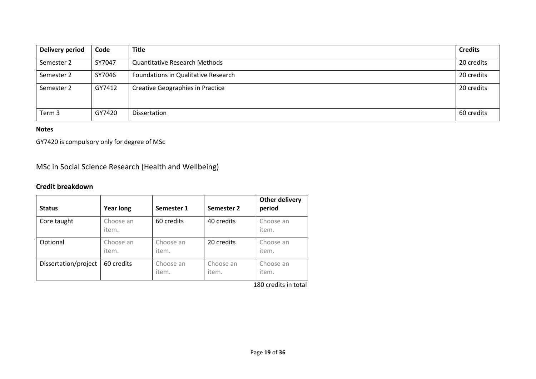| <b>Delivery period</b> | Code   | <b>Title</b>                               | <b>Credits</b> |
|------------------------|--------|--------------------------------------------|----------------|
| Semester 2             | SY7047 | <b>Quantitative Research Methods</b>       | 20 credits     |
| Semester 2             | SY7046 | <b>Foundations in Qualitative Research</b> | 20 credits     |
| Semester 2             | GY7412 | Creative Geographies in Practice           | 20 credits     |
| Term 3                 | GY7420 | Dissertation                               | 60 credits     |

GY7420 is compulsory only for degree of MSc

MSc in Social Science Research (Health and Wellbeing)

## **Credit breakdown**

| <b>Status</b>        | <b>Year long</b>   | Semester 1         | Semester 2         | <b>Other delivery</b><br>period |
|----------------------|--------------------|--------------------|--------------------|---------------------------------|
| Core taught          | Choose an<br>item. | 60 credits         | 40 credits         | Choose an<br>item.              |
| Optional             | Choose an<br>item. | Choose an<br>item. | 20 credits         | Choose an<br>item.              |
| Dissertation/project | 60 credits         | Choose an<br>item. | Choose an<br>item. | Choose an<br>item.              |

180 credits in total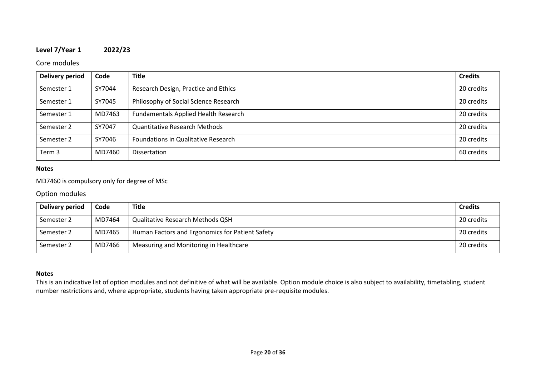## **Level 7/Year 1 2022/23**

### Core modules

| <b>Delivery period</b> | Code   | <b>Title</b>                                | <b>Credits</b> |
|------------------------|--------|---------------------------------------------|----------------|
| Semester 1             | SY7044 | Research Design, Practice and Ethics        | 20 credits     |
| Semester 1             | SY7045 | Philosophy of Social Science Research       | 20 credits     |
| Semester 1             | MD7463 | <b>Fundamentals Applied Health Research</b> | 20 credits     |
| Semester 2             | SY7047 | <b>Quantitative Research Methods</b>        | 20 credits     |
| Semester 2             | SY7046 | Foundations in Qualitative Research         | 20 credits     |
| Term 3                 | MD7460 | Dissertation                                | 60 credits     |

#### **Notes**

## MD7460 is compulsory only for degree of MSc

#### Option modules

| Delivery period | Code   | Title                                           | <b>Credits</b> |
|-----------------|--------|-------------------------------------------------|----------------|
| Semester 2      | MD7464 | <b>Qualitative Research Methods QSH</b>         | 20 credits     |
| Semester 2      | MD7465 | Human Factors and Ergonomics for Patient Safety | 20 credits     |
| Semester 2      | MD7466 | Measuring and Monitoring in Healthcare          | 20 credits     |

#### **Notes**

This is an indicative list of option modules and not definitive of what will be available. Option module choice is also subject to availability, timetabling, student number restrictions and, where appropriate, students having taken appropriate pre-requisite modules.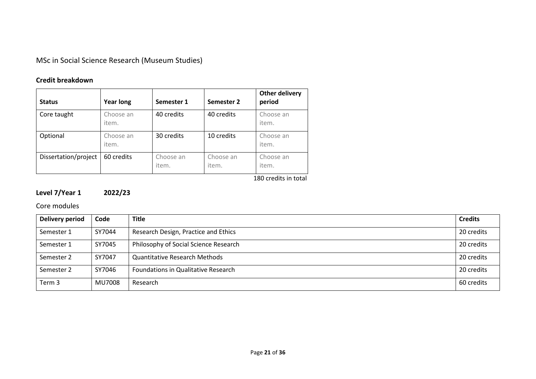MSc in Social Science Research (Museum Studies)

## **Credit breakdown**

| <b>Status</b>        | <b>Year long</b>   | Semester 1         | Semester 2         | <b>Other delivery</b><br>period |
|----------------------|--------------------|--------------------|--------------------|---------------------------------|
| Core taught          | Choose an<br>item. | 40 credits         | 40 credits         | Choose an<br>item.              |
| Optional             | Choose an<br>item. | 30 credits         | 10 credits         | Choose an<br>item.              |
| Dissertation/project | 60 credits         | Choose an<br>item. | Choose an<br>item. | Choose an<br>item.              |

180 credits in total

## **Level 7/Year 1 2022/23**

Core modules

| Delivery period | Code   | <b>Title</b>                          | <b>Credits</b> |
|-----------------|--------|---------------------------------------|----------------|
| Semester 1      | SY7044 | Research Design, Practice and Ethics  | 20 credits     |
| Semester 1      | SY7045 | Philosophy of Social Science Research | 20 credits     |
| Semester 2      | SY7047 | <b>Quantitative Research Methods</b>  | 20 credits     |
| Semester 2      | SY7046 | Foundations in Qualitative Research   | 20 credits     |
| Term 3          | MU7008 | Research                              | 60 credits     |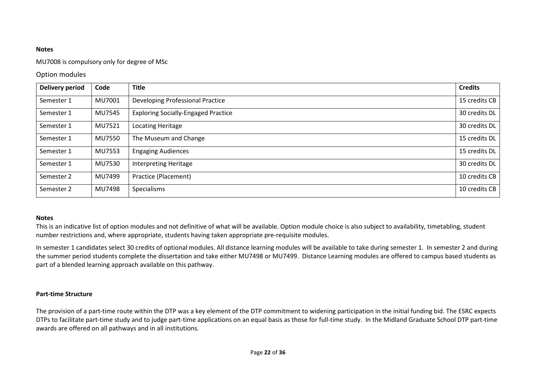#### MU7008 is compulsory only for degree of MSc

### Option modules

| <b>Delivery period</b> | Code          | <b>Title</b>                               | <b>Credits</b> |
|------------------------|---------------|--------------------------------------------|----------------|
| Semester 1             | MU7001        | Developing Professional Practice           | 15 credits CB  |
| Semester 1             | <b>MU7545</b> | <b>Exploring Socially-Engaged Practice</b> | 30 credits DL  |
| Semester 1             | MU7521        | Locating Heritage                          | 30 credits DL  |
| Semester 1             | <b>MU7550</b> | The Museum and Change                      | 15 credits DL  |
| Semester 1             | MU7553        | <b>Engaging Audiences</b>                  | 15 credits DL  |
| Semester 1             | MU7530        | <b>Interpreting Heritage</b>               | 30 credits DL  |
| Semester 2             | MU7499        | Practice (Placement)                       | 10 credits CB  |
| Semester 2             | MU7498        | Specialisms                                | 10 credits CB  |

#### **Notes**

This is an indicative list of option modules and not definitive of what will be available. Option module choice is also subject to availability, timetabling, student number restrictions and, where appropriate, students having taken appropriate pre-requisite modules.

In semester 1 candidates select 30 credits of optional modules. All distance learning modules will be available to take during semester 1. In semester 2 and during the summer period students complete the dissertation and take either MU7498 or MU7499. Distance Learning modules are offered to campus based students as part of a blended learning approach available on this pathway.

### **Part-time Structure**

The provision of a part-time route within the DTP was a key element of the DTP commitment to widening participation in the initial funding bid. The ESRC expects DTPs to facilitate part-time study and to judge part-time applications on an equal basis as those for full-time study. In the Midland Graduate School DTP part-time awards are offered on all pathways and in all institutions.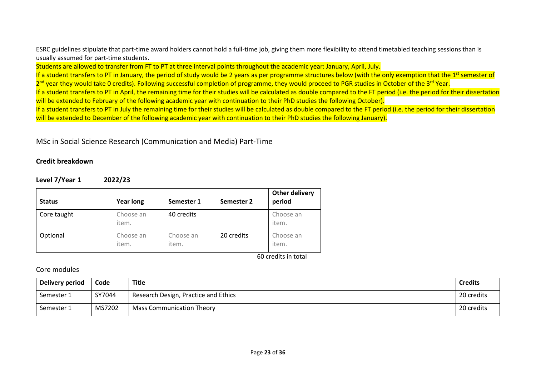ESRC guidelines stipulate that part-time award holders cannot hold a full-time job, giving them more flexibility to attend timetabled teaching sessions than is usually assumed for part-time students.

Students are allowed to transfer from FT to PT at three interval points throughout the academic year: January, April, July.

If a student transfers to PT in January, the period of study would be 2 years as per programme structures below (with the only exemption that the 1<sup>st</sup> semester of

2<sup>nd</sup> year they would take 0 credits). Following successful completion of programme, they would proceed to PGR studies in October of the 3<sup>rd</sup> Year.

If a student transfers to PT in April, the remaining time for their studies will be calculated as double compared to the FT period (i.e. the period for their dissertation will be extended to February of the following academic year with continuation to their PhD studies the following October).

If a student transfers to PT in July the remaining time for their studies will be calculated as double compared to the FT period (i.e. the period for their dissertation will be extended to December of the following academic year with continuation to their PhD studies the following January).

## MSc in Social Science Research (Communication and Media) Part-Time

### **Credit breakdown**

### **Level 7/Year 1 2022/23**

| <b>Status</b> | <b>Year long</b>   | Semester 1         | Semester 2 | <b>Other delivery</b><br>period |
|---------------|--------------------|--------------------|------------|---------------------------------|
| Core taught   | Choose an<br>item. | 40 credits         |            | Choose an<br>item.              |
| Optional      | Choose an<br>item. | Choose an<br>item. | 20 credits | Choose an<br>item.              |

60 credits in total

### Core modules

| Delivery period | Code   | <b>Title</b>                         | <b>Credits</b> |
|-----------------|--------|--------------------------------------|----------------|
| Semester 1      | SY7044 | Research Design, Practice and Ethics | 20 credits     |
| Semester 1      | MS7202 | <b>Mass Communication Theory</b>     | 20 credits     |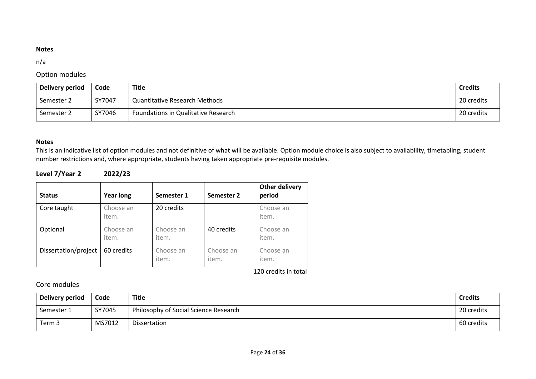### n/a

## Option modules

| Delivery period | Code   | Title                                | <b>Credits</b> |
|-----------------|--------|--------------------------------------|----------------|
| Semester 2      | SY7047 | <b>Quantitative Research Methods</b> | 20 credits     |
| Semester 2      | SY7046 | Foundations in Qualitative Research  | 20 credits     |

### **Notes**

This is an indicative list of option modules and not definitive of what will be available. Option module choice is also subject to availability, timetabling, student number restrictions and, where appropriate, students having taken appropriate pre-requisite modules.

## **Level 7/Year 2 2022/23**

| <b>Status</b>        | <b>Year long</b>   | Semester 1         | Semester 2         | <b>Other delivery</b><br>period |
|----------------------|--------------------|--------------------|--------------------|---------------------------------|
| Core taught          | Choose an<br>item. | 20 credits         |                    | Choose an<br>item.              |
| Optional             | Choose an<br>item. | Choose an<br>item. | 40 credits         | Choose an<br>item.              |
| Dissertation/project | 60 credits         | Choose an<br>item. | Choose an<br>item. | Choose an<br>item.              |

120 credits in total

## Core modules

| Delivery period | Code   | <b>Title</b>                          | <b>Credits</b> |
|-----------------|--------|---------------------------------------|----------------|
| Semester 1      | SY7045 | Philosophy of Social Science Research | 20 credits     |
| Term 3          | MS7012 | Dissertation                          | 60 credits     |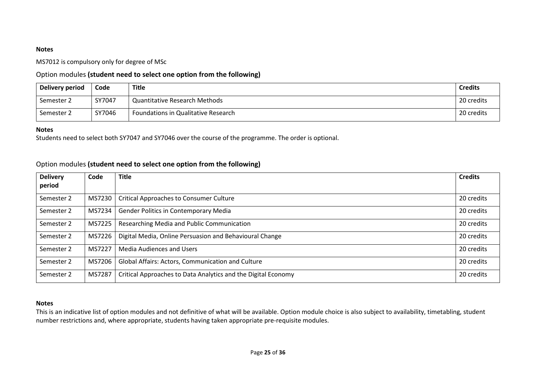MS7012 is compulsory only for degree of MSc

### Option modules **(student need to select one option from the following)**

| Delivery period | Code   | Title                                | <b>Credits</b> |
|-----------------|--------|--------------------------------------|----------------|
| Semester 2      | SY7047 | <b>Quantitative Research Methods</b> | 20 credits     |
| Semester 2      | SY7046 | Foundations in Qualitative Research  | 20 credits     |

#### **Notes**

Students need to select both SY7047 and SY7046 over the course of the programme. The order is optional.

### Option modules **(student need to select one option from the following)**

| <b>Delivery</b> | Code   | <b>Title</b>                                                  | <b>Credits</b> |
|-----------------|--------|---------------------------------------------------------------|----------------|
| period          |        |                                                               |                |
| Semester 2      | MS7230 | <b>Critical Approaches to Consumer Culture</b>                | 20 credits     |
| Semester 2      | MS7234 | <b>Gender Politics in Contemporary Media</b>                  | 20 credits     |
| Semester 2      | MS7225 | Researching Media and Public Communication                    | 20 credits     |
| Semester 2      | MS7226 | Digital Media, Online Persuasion and Behavioural Change       | 20 credits     |
| Semester 2      | MS7227 | <b>Media Audiences and Users</b>                              | 20 credits     |
| Semester 2      | MS7206 | Global Affairs: Actors, Communication and Culture             | 20 credits     |
| Semester 2      | MS7287 | Critical Approaches to Data Analytics and the Digital Economy | 20 credits     |

#### **Notes**

This is an indicative list of option modules and not definitive of what will be available. Option module choice is also subject to availability, timetabling, student number restrictions and, where appropriate, students having taken appropriate pre-requisite modules.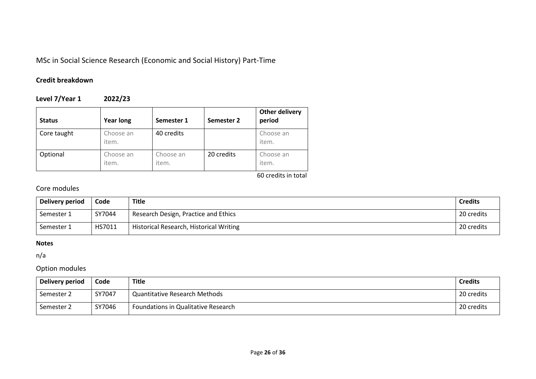## MSc in Social Science Research (Economic and Social History) Part-Time

## **Credit breakdown**

**Level 7/Year 1 2022/23**

| <b>Status</b> | <b>Year long</b>   | Semester 1         | Semester 2 | Other delivery<br>period |
|---------------|--------------------|--------------------|------------|--------------------------|
| Core taught   | Choose an<br>item. | 40 credits         |            | Choose an<br>item.       |
| Optional      | Choose an<br>item. | Choose an<br>item. | 20 credits | Choose an<br>item.       |

60 credits in total

## Core modules

| Delivery period | Code   | Title                                   | <b>Credits</b> |
|-----------------|--------|-----------------------------------------|----------------|
| Semester 1      | SY7044 | Research Design, Practice and Ethics    | 20 credits     |
| Semester 1      | HS7011 | Historical Research, Historical Writing | 20 credits     |

### **Notes**

n/a

## Option modules

| Delivery period | Code   | <b>Title</b>                        | <b>Credits</b> |
|-----------------|--------|-------------------------------------|----------------|
| Semester 2      | SY7047 | Quantitative Research Methods       | 20 credits     |
| Semester 2      | SY7046 | Foundations in Qualitative Research | 20 credits     |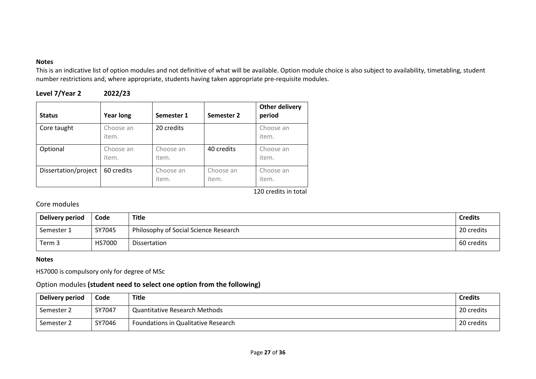This is an indicative list of option modules and not definitive of what will be available. Option module choice is also subject to availability, timetabling, student number restrictions and, where appropriate, students having taken appropriate pre-requisite modules.

| Level 7/Year 2 | 2022/23 |
|----------------|---------|
|----------------|---------|

| <b>Status</b>        | <b>Year long</b>   | Semester 1         | Semester 2         | Other delivery<br>period |
|----------------------|--------------------|--------------------|--------------------|--------------------------|
| Core taught          | Choose an<br>item. | 20 credits         |                    | Choose an<br>item.       |
| Optional             | Choose an<br>item. | Choose an<br>item. | 40 credits         | Choose an<br>item.       |
| Dissertation/project | 60 credits         | Choose an<br>item. | Choose an<br>item. | Choose an<br>item.       |

120 credits in total

## Core modules

| Delivery period | Code          | Title                                 | <b>Credits</b> |
|-----------------|---------------|---------------------------------------|----------------|
| Semester 1      | SY7045        | Philosophy of Social Science Research | 20 credits     |
| Term 3          | <b>HS7000</b> | Dissertation                          | 60 credits     |

### **Notes**

HS7000 is compulsory only for degree of MSc

## Option modules **(student need to select one option from the following)**

| <b>Delivery period</b> | Code   | Title                               | <b>Credits</b> |
|------------------------|--------|-------------------------------------|----------------|
| Semester 2             | SY7047 | Quantitative Research Methods       | 20 credits     |
| Semester 2             | SY7046 | Foundations in Qualitative Research | 20 credits     |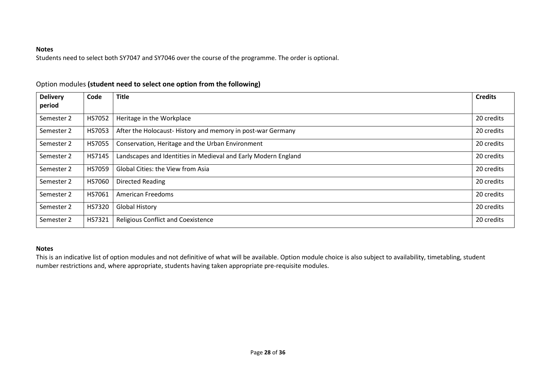Students need to select both SY7047 and SY7046 over the course of the programme. The order is optional.

| <b>Delivery</b> | Code   | <b>Title</b>                                                   | <b>Credits</b> |
|-----------------|--------|----------------------------------------------------------------|----------------|
| period          |        |                                                                |                |
| Semester 2      | HS7052 | Heritage in the Workplace                                      | 20 credits     |
| Semester 2      | HS7053 | After the Holocaust-History and memory in post-war Germany     | 20 credits     |
| Semester 2      | HS7055 | Conservation, Heritage and the Urban Environment               | 20 credits     |
| Semester 2      | HS7145 | Landscapes and Identities in Medieval and Early Modern England | 20 credits     |
| Semester 2      | HS7059 | Global Cities: the View from Asia                              | 20 credits     |
| Semester 2      | HS7060 | <b>Directed Reading</b>                                        | 20 credits     |
| Semester 2      | HS7061 | American Freedoms                                              | 20 credits     |
| Semester 2      | HS7320 | <b>Global History</b>                                          | 20 credits     |
| Semester 2      | HS7321 | <b>Religious Conflict and Coexistence</b>                      | 20 credits     |

## Option modules **(student need to select one option from the following)**

### **Notes**

This is an indicative list of option modules and not definitive of what will be available. Option module choice is also subject to availability, timetabling, student number restrictions and, where appropriate, students having taken appropriate pre-requisite modules.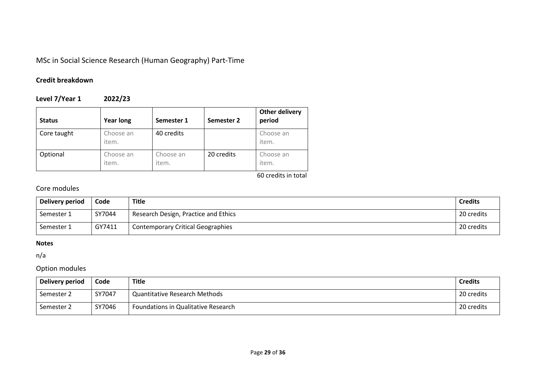MSc in Social Science Research (Human Geography) Part-Time

## **Credit breakdown**

**Level 7/Year 1 2022/23**

| <b>Status</b> | <b>Year long</b>   | Semester 1         | Semester 2 | <b>Other delivery</b><br>period |
|---------------|--------------------|--------------------|------------|---------------------------------|
| Core taught   | Choose an<br>item. | 40 credits         |            | Choose an<br>item.              |
| Optional      | Choose an<br>item. | Choose an<br>item. | 20 credits | Choose an<br>item.              |

60 credits in total

## Core modules

| Delivery period | Code   | Title                                    | <b>Credits</b> |
|-----------------|--------|------------------------------------------|----------------|
| Semester 1      | SY7044 | Research Design, Practice and Ethics     | 20 credits     |
| Semester 1      | GY7411 | <b>Contemporary Critical Geographies</b> | 20 credits     |

### **Notes**

n/a

## Option modules

| Delivery period | Code   | Title                                | <b>Credits</b> |
|-----------------|--------|--------------------------------------|----------------|
| Semester 2      | SY7047 | <b>Quantitative Research Methods</b> | 20 credits     |
| Semester 2      | SY7046 | Foundations in Qualitative Research  | 20 credits     |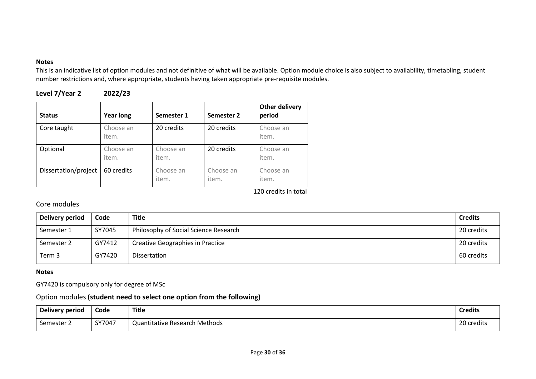This is an indicative list of option modules and not definitive of what will be available. Option module choice is also subject to availability, timetabling, student number restrictions and, where appropriate, students having taken appropriate pre-requisite modules.

| Level 7/Year 2 | 2022/23 |
|----------------|---------|
|----------------|---------|

| <b>Status</b>        | <b>Year long</b>   | Semester 1         | Semester 2         | <b>Other delivery</b><br>period |
|----------------------|--------------------|--------------------|--------------------|---------------------------------|
| Core taught          | Choose an<br>item. | 20 credits         | 20 credits         | Choose an<br>item.              |
| Optional             | Choose an<br>item. | Choose an<br>item. | 20 credits         | Choose an<br>item.              |
| Dissertation/project | 60 credits         | Choose an<br>item. | Choose an<br>item. | Choose an<br>item.              |

120 credits in total

## Core modules

| Delivery period | Code   | <b>Title</b>                            | <b>Credits</b> |
|-----------------|--------|-----------------------------------------|----------------|
| Semester 1      | SY7045 | Philosophy of Social Science Research   | 20 credits     |
| Semester 2      | GY7412 | <b>Creative Geographies in Practice</b> | 20 credits     |
| Term 3          | GY7420 | Dissertation                            | 60 credits     |

### **Notes**

GY7420 is compulsory only for degree of MSc

## Option modules **(student need to select one option from the following)**

| Delivery period | Code   | <b>Title</b>                  | <b>Credits</b> |
|-----------------|--------|-------------------------------|----------------|
| Semester 2      | SY7047 | Quantitative Research Methods | 20 credits     |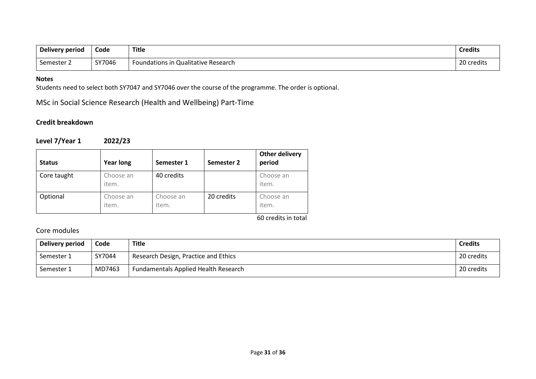| Delivery period | Code   | <b>Title</b>                        | <b>Credits</b> |
|-----------------|--------|-------------------------------------|----------------|
| Semester        | SY7046 | Foundations in Qualitative Research | ົາດ<br>credits |

Students need to select both SY7047 and SY7046 over the course of the programme. The order is optional.

MSc in Social Science Research (Health and Wellbeing) Part-Time

## **Credit breakdown**

## **Level 7/Year 1 2022/23**

| <b>Status</b> | <b>Year long</b>   | Semester 1         | Semester 2 | Other delivery<br>period |
|---------------|--------------------|--------------------|------------|--------------------------|
| Core taught   | Choose an<br>item. | 40 credits         |            | Choose an<br>item.       |
| Optional      | Choose an<br>item. | Choose an<br>item. | 20 credits | Choose an<br>item.       |

60 credits in total

## Core modules

| Delivery period | Code   | Title                                       | <b>Credits</b> |
|-----------------|--------|---------------------------------------------|----------------|
| Semester 1      | SY7044 | Research Design, Practice and Ethics        | 20 credits     |
| Semester 1      | MD7463 | <b>Fundamentals Applied Health Research</b> | 20 credits     |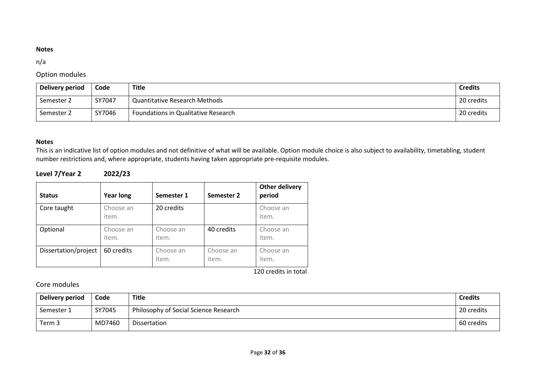### n/a

## Option modules

| Delivery period | Code   | Title                                | <b>Credits</b> |
|-----------------|--------|--------------------------------------|----------------|
| Semester 2      | SY7047 | <b>Quantitative Research Methods</b> | 20 credits     |
| Semester 2      | SY7046 | Foundations in Qualitative Research  | 20 credits     |

### **Notes**

This is an indicative list of option modules and not definitive of what will be available. Option module choice is also subject to availability, timetabling, student number restrictions and, where appropriate, students having taken appropriate pre-requisite modules.

## **Level 7/Year 2 2022/23**

| <b>Status</b>        | <b>Year long</b>   | Semester 1         | Semester 2         | <b>Other delivery</b><br>period |
|----------------------|--------------------|--------------------|--------------------|---------------------------------|
| Core taught          | Choose an<br>item. | 20 credits         |                    | Choose an<br>item.              |
| Optional             | Choose an<br>item. | Choose an<br>item. | 40 credits         | Choose an<br>item.              |
| Dissertation/project | 60 credits         | Choose an<br>item. | Choose an<br>item. | Choose an<br>item.              |

120 credits in total

## Core modules

| Delivery period | Code   | <b>Title</b>                          | <b>Credits</b> |
|-----------------|--------|---------------------------------------|----------------|
| Semester 1      | SY7045 | Philosophy of Social Science Research | 20 credits     |
| Term 3          | MD7460 | Dissertation                          | 60 credits     |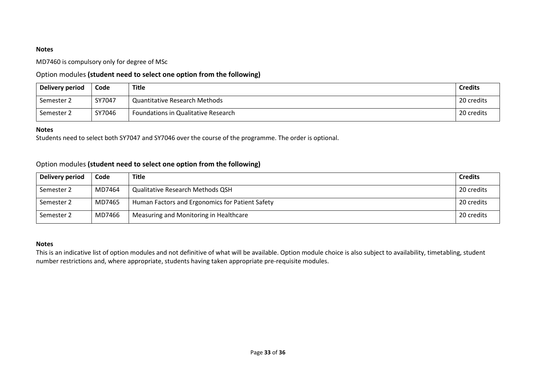MD7460 is compulsory only for degree of MSc

### Option modules **(student need to select one option from the following)**

| Delivery period | Code   | Title                                | <b>Credits</b> |
|-----------------|--------|--------------------------------------|----------------|
| Semester 2      | SY7047 | <b>Quantitative Research Methods</b> | 20 credits     |
| Semester 2      | SY7046 | Foundations in Qualitative Research  | 20 credits     |

#### **Notes**

Students need to select both SY7047 and SY7046 over the course of the programme. The order is optional.

### Option modules **(student need to select one option from the following)**

| Delivery period | Code   | <b>Title</b>                                    | <b>Credits</b> |
|-----------------|--------|-------------------------------------------------|----------------|
| Semester 2      | MD7464 | <b>Qualitative Research Methods QSH</b>         | 20 credits     |
| Semester 2      | MD7465 | Human Factors and Ergonomics for Patient Safety | 20 credits     |
| Semester 2      | MD7466 | Measuring and Monitoring in Healthcare          | 20 credits     |

#### **Notes**

This is an indicative list of option modules and not definitive of what will be available. Option module choice is also subject to availability, timetabling, student number restrictions and, where appropriate, students having taken appropriate pre-requisite modules.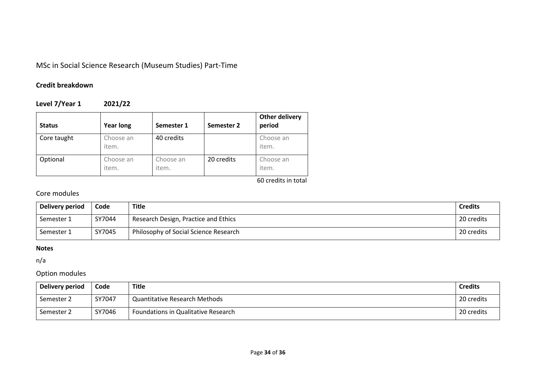# MSc in Social Science Research (Museum Studies) Part-Time

## **Credit breakdown**

## **Level 7/Year 1 2021/22**

| <b>Status</b> | <b>Year long</b>   | Semester 1         | Semester 2 | <b>Other delivery</b><br>period |
|---------------|--------------------|--------------------|------------|---------------------------------|
| Core taught   | Choose an<br>item. | 40 credits         |            | Choose an<br>item.              |
| Optional      | Choose an<br>item. | Choose an<br>item. | 20 credits | Choose an<br>item.              |

60 credits in total

## Core modules

| Delivery period | Code   | <b>Title</b>                          | <b>Credits</b> |
|-----------------|--------|---------------------------------------|----------------|
| Semester 1      | SY7044 | Research Design, Practice and Ethics  | 20 credits     |
| Semester 1      | SY7045 | Philosophy of Social Science Research | 20 credits     |

### **Notes**

n/a

## Option modules

| Delivery period | Code   | <b>Title</b>                         | <b>Credits</b> |
|-----------------|--------|--------------------------------------|----------------|
| Semester 2      | SY7047 | <b>Quantitative Research Methods</b> | 20 credits     |
| Semester 2      | SY7046 | Foundations in Qualitative Research  | 20 credits     |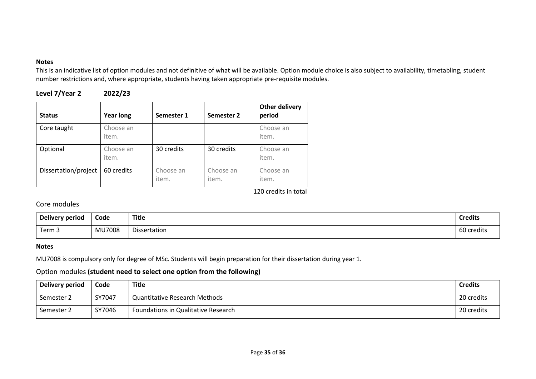This is an indicative list of option modules and not definitive of what will be available. Option module choice is also subject to availability, timetabling, student number restrictions and, where appropriate, students having taken appropriate pre-requisite modules.

| Level 7/Year 2 | 2022/23 |
|----------------|---------|
|----------------|---------|

| <b>Status</b>        | <b>Year long</b>   | Semester 1         | Semester 2         | Other delivery<br>period |
|----------------------|--------------------|--------------------|--------------------|--------------------------|
| Core taught          | Choose an<br>item. |                    |                    | Choose an<br>item.       |
| Optional             | Choose an<br>item. | 30 credits         | 30 credits         | Choose an<br>item.       |
| Dissertation/project | 60 credits         | Choose an<br>item. | Choose an<br>item. | Choose an<br>item.       |

120 credits in total

## Core modules

| Delivery period | Code          | <b>Title</b> | <b>Credits</b> |
|-----------------|---------------|--------------|----------------|
| Term 3          | <b>MU7008</b> | Dissertation | 60 credits     |

### **Notes**

MU7008 is compulsory only for degree of MSc. Students will begin preparation for their dissertation during year 1.

## Option modules **(student need to select one option from the following)**

| Delivery period | Code   | <b>Title</b>                         | <b>Credits</b> |
|-----------------|--------|--------------------------------------|----------------|
| Semester 2      | SY7047 | <b>Quantitative Research Methods</b> | 20 credits     |
| Semester 2      | SY7046 | Foundations in Qualitative Research  | 20 credits     |